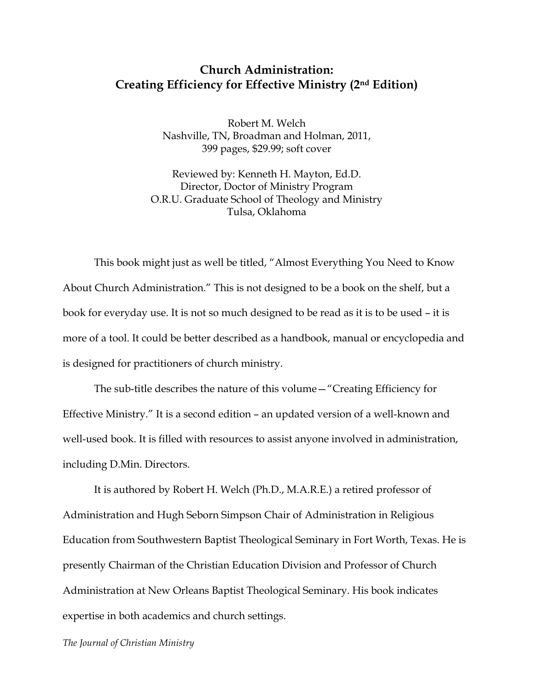## **Church Administration: Creating Efficiency for Effective Ministry (2nd Edition)**

Robert M. Welch Nashville, TN, Broadman and Holman, 2011, 399 pages, \$29.99; soft cover

Reviewed by: Kenneth H. Mayton, Ed.D. Director, Doctor of Ministry Program O.R.U. Graduate School of Theology and Ministry Tulsa, Oklahoma

This book might just as well be titled, "Almost Everything You Need to Know About Church Administration." This is not designed to be a book on the shelf, but a book for everyday use. It is not so much designed to be read as it is to be used – it is more of a tool. It could be better described as a handbook, manual or encyclopedia and is designed for practitioners of church ministry.

The sub-title describes the nature of this volume—"Creating Efficiency for Effective Ministry." It is a second edition – an updated version of a well-known and well-used book. It is filled with resources to assist anyone involved in administration, including D.Min. Directors.

It is authored by Robert H. Welch (Ph.D., M.A.R.E.) a retired professor of Administration and Hugh Seborn Simpson Chair of Administration in Religious Education from Southwestern Baptist Theological Seminary in Fort Worth, Texas. He is presently Chairman of the Christian Education Division and Professor of Church Administration at New Orleans Baptist Theological Seminary. His book indicates expertise in both academics and church settings.

*The Journal of Christian Ministry*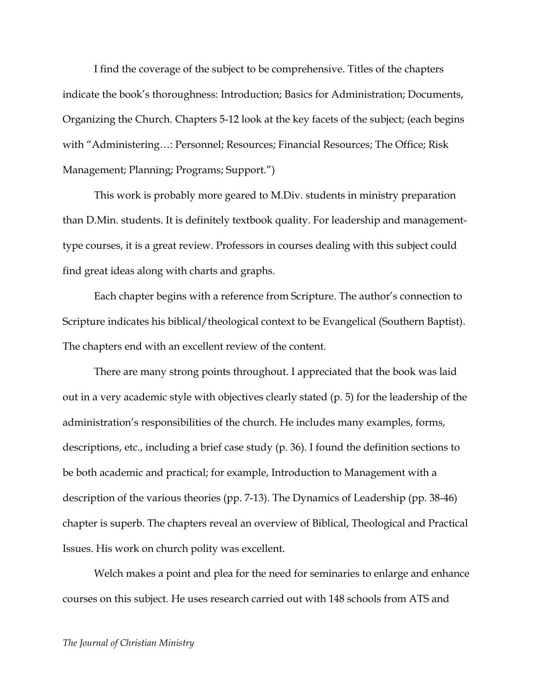I find the coverage of the subject to be comprehensive. Titles of the chapters indicate the book's thoroughness: Introduction; Basics for Administration; Documents, Organizing the Church. Chapters 5-12 look at the key facets of the subject; (each begins with "Administering…: Personnel; Resources; Financial Resources; The Office; Risk Management; Planning; Programs; Support.")

This work is probably more geared to M.Div. students in ministry preparation than D.Min. students. It is definitely textbook quality. For leadership and managementtype courses, it is a great review. Professors in courses dealing with this subject could find great ideas along with charts and graphs.

Each chapter begins with a reference from Scripture. The author's connection to Scripture indicates his biblical/theological context to be Evangelical (Southern Baptist). The chapters end with an excellent review of the content.

There are many strong points throughout. I appreciated that the book was laid out in a very academic style with objectives clearly stated (p. 5) for the leadership of the administration's responsibilities of the church. He includes many examples, forms, descriptions, etc., including a brief case study (p. 36). I found the definition sections to be both academic and practical; for example, Introduction to Management with a description of the various theories (pp. 7-13). The Dynamics of Leadership (pp. 38-46) chapter is superb. The chapters reveal an overview of Biblical, Theological and Practical Issues. His work on church polity was excellent.

Welch makes a point and plea for the need for seminaries to enlarge and enhance courses on this subject. He uses research carried out with 148 schools from ATS and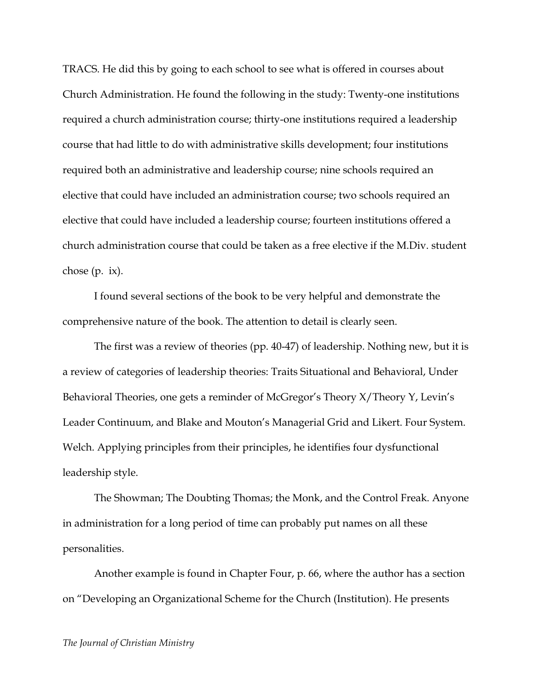TRACS. He did this by going to each school to see what is offered in courses about Church Administration. He found the following in the study: Twenty-one institutions required a church administration course; thirty-one institutions required a leadership course that had little to do with administrative skills development; four institutions required both an administrative and leadership course; nine schools required an elective that could have included an administration course; two schools required an elective that could have included a leadership course; fourteen institutions offered a church administration course that could be taken as a free elective if the M.Div. student chose  $(p. ix)$ .

I found several sections of the book to be very helpful and demonstrate the comprehensive nature of the book. The attention to detail is clearly seen.

The first was a review of theories (pp. 40-47) of leadership. Nothing new, but it is a review of categories of leadership theories: Traits Situational and Behavioral, Under Behavioral Theories, one gets a reminder of McGregor's Theory X/Theory Y, Levin's Leader Continuum, and Blake and Mouton's Managerial Grid and Likert. Four System. Welch. Applying principles from their principles, he identifies four dysfunctional leadership style.

The Showman; The Doubting Thomas; the Monk, and the Control Freak. Anyone in administration for a long period of time can probably put names on all these personalities.

Another example is found in Chapter Four, p. 66, where the author has a section on "Developing an Organizational Scheme for the Church (Institution). He presents